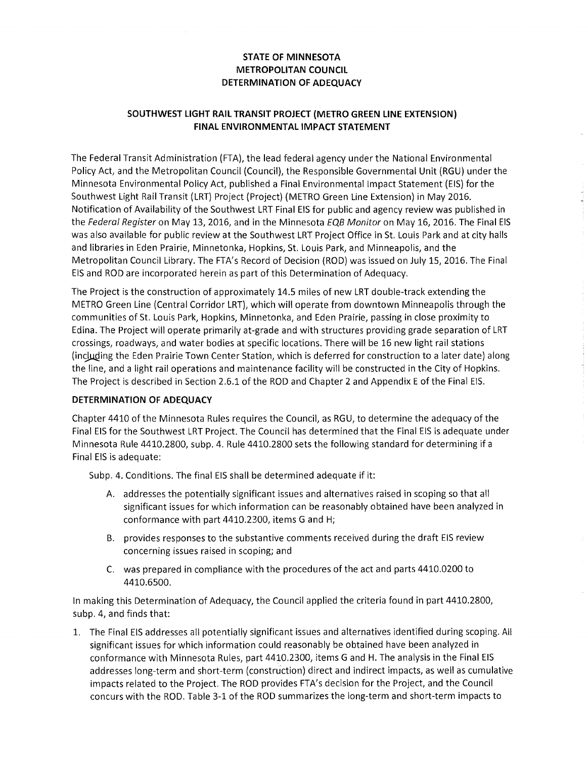## **STATE OF MINNESOTA METROPOLITAN COUNCIL DETERMINATION OF ADEQUACY**

## **SOUTHWEST LIGHT RAIL TRANSIT PROJECT (METRO GREEN LINE EXTENSION) FINAL ENVIRONMENTAL IMPACT STATEMENT**

The Federal Transit Administration (FTA), the lead federal agency under the National Environmental Policy Act, and the Metropolitan Council (Council), the Responsible Governmental Unit (RGU) under the Minnesota Environmental Policy Act, published a Final Environmental Impact Statement (EIS) for the Southwest Light Rail Transit (LRT) Project (Project) (METRO Green Line Extension) in May 2016. Notification of Availability of the Southwest LRT Final EIS for public and agency review was published in the Federal Register on May 13, 2016, and in the Minnesota EQB Monitor on May 16, 2016. The Final EIS was also available for public review at the Southwest LRT Project Office in St. Louis Park and at city halls and libraries in Eden Prairie, Minnetonka, Hopkins, St. Louis Park, and Minneapolis, and the Metropolitan Council Library. The FTA's Record of Decision (ROD) was issued on July 15, 2016. The Final EIS and ROD are incorporated herein as part of this Determination of Adequacy.

The Project is the construction of approximately 14.5 miles of new LRT double-track extending the METRO Green Line (Central Corridor LRT), which will operate from downtown Minneapolis through the communities of St. Louis Park, Hopkins, Minnetonka, and Eden Prairie, passing in close proximity to Edina. The Project will operate primarily at-grade and with structures providing grade separation of LRT crossings, roadways, and water bodies at specific locations. There will be 16 new light rail stations (including the Eden Prairie Town Center Station, which is deferred for construction to a later date) along the line, and a light rail operations and maintenance facility will be constructed in the City of Hopkins. The Project is described in Section 2.6.1 of the ROD and Chapter 2 and Appendix E of the Final EIS.

## **DETERMINATION OF ADEQUACY**

Chapter 4410 of the Minnesota Rules requires the Council, as RGU, to determine the adequacy of the Final EIS for the Southwest LRT Project. The Council has determined that the Final EIS is adequate under Minnesota Rule 4410.2800, subp. 4. Rule 4410.2800 sets the following standard for determining if a Final EIS is adequate:

Subp. 4. Conditions. The final EIS shall be determined adequate if it:

- A. addresses the potentially significant issues and alternatives raised in scoping so that all significant issues for which information can be reasonably obtained have been analyzed in conformance with part 4410.2300, items G and H;
- B. provides responses to the substantive comments received during the draft EIS review concerning issues raised in scoping; and
- C. was prepared in compliance with the procedures of the act and parts 4410.0200 to 4410.6500.

In making this Determination of Adequacy, the Council applied the criteria found in part 4410.2800, subp. 4, and finds that:

1. The Final EIS addresses all potentially significant issues and alternatives identified during scoping. All significant issues for which information could reasonably be obtained have been analyzed in conformance with Minnesota Rules, part 4410.2300, items G and H. The analysis in the Final EIS addresses long-term and short-term (construction) direct and indirect impacts, as well as cumulative impacts related to the Project. The ROD provides FTA's decision for the Project, and the Council concurs with the ROD. Table 3-1 of the ROD summarizes the long-term and short-term impacts to